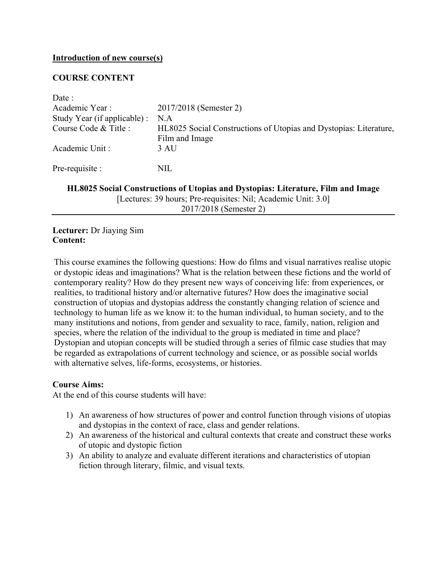#### **Introduction of new course(s)**

## **COURSE CONTENT**

| Date:                                                                            |                                                                   |  |
|----------------------------------------------------------------------------------|-------------------------------------------------------------------|--|
| Academic Year:                                                                   | 2017/2018 (Semester 2)                                            |  |
| Study Year (if applicable) :                                                     | N A                                                               |  |
| Course Code & Title :                                                            | HL8025 Social Constructions of Utopias and Dystopias: Literature, |  |
|                                                                                  | Film and Image                                                    |  |
| Academic Unit:                                                                   | 3 AU                                                              |  |
| Pre-requisite :                                                                  | NIL                                                               |  |
| HL8025 Social Constructions of Utopias and Dystopias: Literature, Film and Image |                                                                   |  |

[Lectures: 39 hours; Pre-requisites: Nil; Academic Unit: 3.0] 2017/2018 (Semester 2)

### **Lecturer:** Dr Jiaying Sim **Content:**

This course examines the following questions: How do films and visual narratives realise utopic or dystopic ideas and imaginations? What is the relation between these fictions and the world of contemporary reality? How do they present new ways of conceiving life: from experiences, or realities, to traditional history and/or alternative futures? How does the imaginative social construction of utopias and dystopias address the constantly changing relation of science and technology to human life as we know it: to the human individual, to human society, and to the many institutions and notions, from gender and sexuality to race, family, nation, religion and species, where the relation of the individual to the group is mediated in time and place? Dystopian and utopian concepts will be studied through a series of filmic case studies that may be regarded as extrapolations of current technology and science, or as possible social worlds with alternative selves, life-forms, ecosystems, or histories.

#### **Course Aims:**

At the end of this course students will have:

- 1) An awareness of how structures of power and control function through visions of utopias and dystopias in the context of race, class and gender relations.
- 2) An awareness of the historical and cultural contexts that create and construct these works of utopic and dystopic fiction
- 3) An ability to analyze and evaluate different iterations and characteristics of utopian fiction through literary, filmic, and visual texts.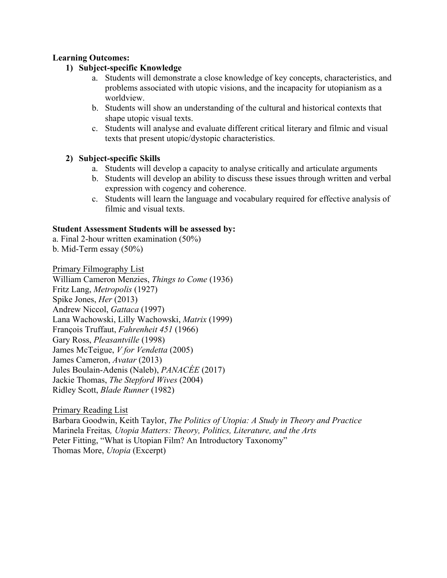# **Learning Outcomes:**

# **1) Subject-specific Knowledge**

- a. Students will demonstrate a close knowledge of key concepts, characteristics, and problems associated with utopic visions, and the incapacity for utopianism as a worldview.
- b. Students will show an understanding of the cultural and historical contexts that shape utopic visual texts.
- c. Students will analyse and evaluate different critical literary and filmic and visual texts that present utopic/dystopic characteristics.

## **2) Subject-specific Skills**

- a. Students will develop a capacity to analyse critically and articulate arguments
- b. Students will develop an ability to discuss these issues through written and verbal expression with cogency and coherence.
- c. Students will learn the language and vocabulary required for effective analysis of filmic and visual texts.

## **Student Assessment Students will be assessed by:**

- a. Final 2-hour written examination (50%)
- b. Mid-Term essay (50%)

Primary Filmography List

William Cameron Menzies, *Things to Come* (1936) Fritz Lang, *Metropolis* (1927) Spike Jones, *Her* (2013) Andrew Niccol, *Gattaca* (1997) Lana Wachowski, Lilly Wachowski, *Matrix* (1999) François Truffaut, *Fahrenheit 451* (1966) Gary Ross, *Pleasantville* (1998) James McTeigue, *V for Vendetta* (2005) James Cameron, *Avatar* (2013) Jules Boulain-Adenis (Naleb), *PANACÉE* (2017) Jackie Thomas, *The Stepford Wives* (2004) Ridley Scott, *Blade Runner* (1982)

Primary Reading List Barbara Goodwin, Keith Taylor, *The Politics of Utopia: A Study in Theory and Practice* Marinela Freitas*, Utopia Matters: Theory, Politics, Literature, and the Arts* Peter Fitting, "What is Utopian Film? An Introductory Taxonomy" Thomas More, *Utopia* (Excerpt)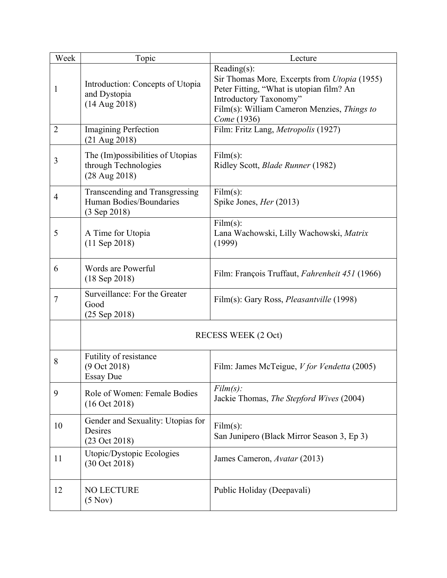| Week           | Topic                                                                                 | Lecture                                                                                                                                                                                                    |
|----------------|---------------------------------------------------------------------------------------|------------------------------------------------------------------------------------------------------------------------------------------------------------------------------------------------------------|
| $\mathbf{1}$   | Introduction: Concepts of Utopia<br>and Dystopia<br>$(14$ Aug 2018)                   | Reading $(s)$ :<br>Sir Thomas More, Excerpts from <i>Utopia</i> (1955)<br>Peter Fitting, "What is utopian film? An<br>Introductory Taxonomy"<br>Film(s): William Cameron Menzies, Things to<br>Come (1936) |
| $\overline{2}$ | <b>Imagining Perfection</b><br>$(21 \text{ Aug } 2018)$                               | Film: Fritz Lang, Metropolis (1927)                                                                                                                                                                        |
| 3              | The (Im) possibilities of Utopias<br>through Technologies<br>$(28 \text{ Aug } 2018)$ | Film(s):<br>Ridley Scott, Blade Runner (1982)                                                                                                                                                              |
| $\overline{4}$ | Transcending and Transgressing<br>Human Bodies/Boundaries<br>(3 Sep 2018)             | Film(s):<br>Spike Jones, <i>Her</i> (2013)                                                                                                                                                                 |
| 5              | A Time for Utopia<br>$(11$ Sep 2018)                                                  | Film(s):<br>Lana Wachowski, Lilly Wachowski, Matrix<br>(1999)                                                                                                                                              |
| 6              | Words are Powerful<br>$(18$ Sep 2018)                                                 | Film: François Truffaut, Fahrenheit 451 (1966)                                                                                                                                                             |
| $\tau$         | Surveillance: For the Greater<br>Good<br>$(25$ Sep 2018)                              | Film(s): Gary Ross, Pleasantville (1998)                                                                                                                                                                   |
|                |                                                                                       | <b>RECESS WEEK (2 Oct)</b>                                                                                                                                                                                 |
| 8              | Futility of resistance<br>(9 Oct 2018)<br><b>Essay Due</b>                            | Film: James McTeigue, V for Vendetta (2005)                                                                                                                                                                |
| 9              | Role of Women: Female Bodies<br>(16 Oct 2018)                                         | $Film(s)$ :<br>Jackie Thomas, The Stepford Wives (2004)                                                                                                                                                    |
| 10             | Gender and Sexuality: Utopias for<br>Desires<br>(23 Oct 2018)                         | Film(s):<br>San Junipero (Black Mirror Season 3, Ep 3)                                                                                                                                                     |
| 11             | Utopic/Dystopic Ecologies<br>(30 Oct 2018)                                            | James Cameron, Avatar (2013)                                                                                                                                                                               |
| 12             | <b>NO LECTURE</b><br>(5 Nov)                                                          | Public Holiday (Deepavali)                                                                                                                                                                                 |